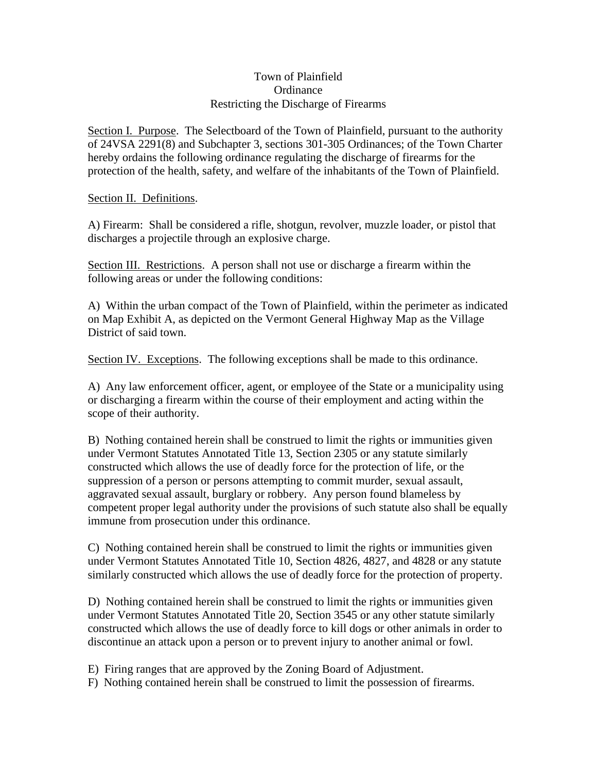## Town of Plainfield **Ordinance** Restricting the Discharge of Firearms

Section I. Purpose. The Selectboard of the Town of Plainfield, pursuant to the authority of 24VSA 2291(8) and Subchapter 3, sections 301-305 Ordinances; of the Town Charter hereby ordains the following ordinance regulating the discharge of firearms for the protection of the health, safety, and welfare of the inhabitants of the Town of Plainfield.

## Section II. Definitions.

A) Firearm: Shall be considered a rifle, shotgun, revolver, muzzle loader, or pistol that discharges a projectile through an explosive charge.

Section III. Restrictions. A person shall not use or discharge a firearm within the following areas or under the following conditions:

A) Within the urban compact of the Town of Plainfield, within the perimeter as indicated on Map Exhibit A, as depicted on the Vermont General Highway Map as the Village District of said town.

Section IV. Exceptions. The following exceptions shall be made to this ordinance.

A) Any law enforcement officer, agent, or employee of the State or a municipality using or discharging a firearm within the course of their employment and acting within the scope of their authority.

B) Nothing contained herein shall be construed to limit the rights or immunities given under Vermont Statutes Annotated Title 13, Section 2305 or any statute similarly constructed which allows the use of deadly force for the protection of life, or the suppression of a person or persons attempting to commit murder, sexual assault, aggravated sexual assault, burglary or robbery. Any person found blameless by competent proper legal authority under the provisions of such statute also shall be equally immune from prosecution under this ordinance.

C) Nothing contained herein shall be construed to limit the rights or immunities given under Vermont Statutes Annotated Title 10, Section 4826, 4827, and 4828 or any statute similarly constructed which allows the use of deadly force for the protection of property.

D) Nothing contained herein shall be construed to limit the rights or immunities given under Vermont Statutes Annotated Title 20, Section 3545 or any other statute similarly constructed which allows the use of deadly force to kill dogs or other animals in order to discontinue an attack upon a person or to prevent injury to another animal or fowl.

E) Firing ranges that are approved by the Zoning Board of Adjustment.

F) Nothing contained herein shall be construed to limit the possession of firearms.